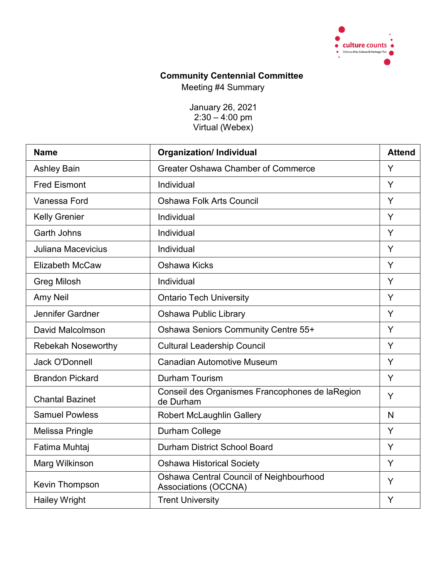

# **Community Centennial Committee**

Meeting #4 Summary

January 26, 2021 2:30 – 4:00 pm Virtual (Webex)

| <b>Name</b>               | <b>Organization/Individual</b>                                  | <b>Attend</b> |
|---------------------------|-----------------------------------------------------------------|---------------|
| <b>Ashley Bain</b>        | <b>Greater Oshawa Chamber of Commerce</b>                       | Y             |
| <b>Fred Eismont</b>       | Individual                                                      | Y             |
| Vanessa Ford              | <b>Oshawa Folk Arts Council</b>                                 | Y             |
| <b>Kelly Grenier</b>      | Individual                                                      | Y             |
| <b>Garth Johns</b>        | Individual                                                      | Y             |
| <b>Juliana Macevicius</b> | Individual                                                      | Y             |
| <b>Elizabeth McCaw</b>    | Oshawa Kicks                                                    | Y             |
| <b>Greg Milosh</b>        | Individual                                                      | Y             |
| Amy Neil                  | <b>Ontario Tech University</b>                                  | Y             |
| Jennifer Gardner          | <b>Oshawa Public Library</b>                                    | Y             |
| David Malcolmson          | Oshawa Seniors Community Centre 55+                             | Y             |
| <b>Rebekah Noseworthy</b> | <b>Cultural Leadership Council</b>                              | Y             |
| <b>Jack O'Donnell</b>     | <b>Canadian Automotive Museum</b>                               | Y             |
| <b>Brandon Pickard</b>    | <b>Durham Tourism</b>                                           | Y             |
| <b>Chantal Bazinet</b>    | Conseil des Organismes Francophones de laRegion<br>de Durham    | Y             |
| <b>Samuel Powless</b>     | <b>Robert McLaughlin Gallery</b>                                | N             |
| <b>Melissa Pringle</b>    | Durham College                                                  | Y             |
| Fatima Muhtaj             | <b>Durham District School Board</b>                             | Y             |
| Marg Wilkinson            | <b>Oshawa Historical Society</b>                                | Y             |
| Kevin Thompson            | Oshawa Central Council of Neighbourhood<br>Associations (OCCNA) | Y             |
| <b>Hailey Wright</b>      | <b>Trent University</b>                                         | Y             |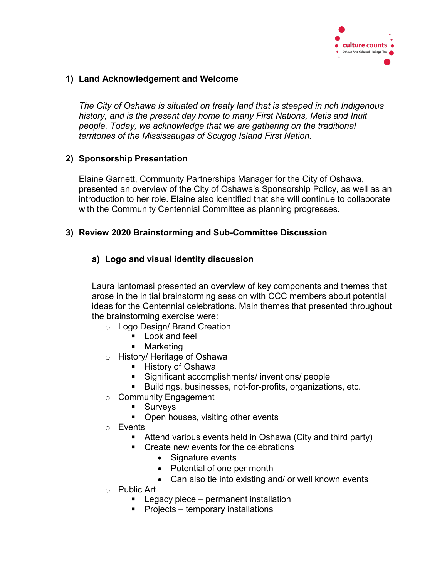

## **1) Land Acknowledgement and Welcome**

*The City of Oshawa is situated on treaty land that is steeped in rich Indigenous history, and is the present day home to many First Nations, Metis and Inuit people. Today, we acknowledge that we are gathering on the traditional territories of the Mississaugas of Scugog Island First Nation.*

#### **2) Sponsorship Presentation**

Elaine Garnett, Community Partnerships Manager for the City of Oshawa, presented an overview of the City of Oshawa's Sponsorship Policy, as well as an introduction to her role. Elaine also identified that she will continue to collaborate with the Community Centennial Committee as planning progresses.

#### **3) Review 2020 Brainstorming and Sub-Committee Discussion**

#### **a) Logo and visual identity discussion**

Laura Iantomasi presented an overview of key components and themes that arose in the initial brainstorming session with CCC members about potential ideas for the Centennial celebrations. Main themes that presented throughout the brainstorming exercise were:

- o Logo Design/ Brand Creation
	- **Look and feel**
	- Marketing
- o History/ Heritage of Oshawa
	- History of Oshawa
	- Significant accomplishments/ inventions/ people
	- Buildings, businesses, not-for-profits, organizations, etc.
- o Community Engagement
	- **Surveys**
	- Open houses, visiting other events
- o Events
	- Attend various events held in Oshawa (City and third party)
	- Create new events for the celebrations
		- Signature events
		- Potential of one per month
		- Can also tie into existing and/ or well known events
- o Public Art
	- **Legacy piece permanent installation**
	- $\blacksquare$  Projects temporary installations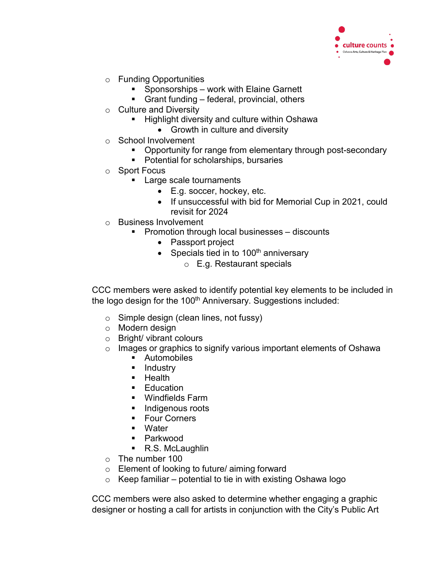

- o Funding Opportunities
	- **Sponsorships work with Elaine Garnett**
	- Grant funding federal, provincial, others
- o Culture and Diversity
	- Highlight diversity and culture within Oshawa
		- Growth in culture and diversity
- o School Involvement
	- Opportunity for range from elementary through post-secondary
	- Potential for scholarships, bursaries
- o Sport Focus
	- **Large scale tournaments** 
		- E.g. soccer, hockey, etc.
		- If unsuccessful with bid for Memorial Cup in 2021, could revisit for 2024
- o Business Involvement
	- **Promotion through local businesses discounts** 
		- Passport project
		- Specials tied in to  $100<sup>th</sup>$  anniversary
			- o E.g. Restaurant specials

CCC members were asked to identify potential key elements to be included in the logo design for the 100<sup>th</sup> Anniversary. Suggestions included:

- $\circ$  Simple design (clean lines, not fussy)
- o Modern design
- o Bright/ vibrant colours
- o Images or graphics to signify various important elements of Oshawa
	- **Automobiles**
	- **Industry**
	- $H$  Health
	- $\blacksquare$  Education
	- Windfields Farm
	- **Indigenous roots**
	- **Four Corners**
	- **Nater**
	- Parkwood
	- R.S. McLaughlin
- o The number 100
- o Element of looking to future/ aiming forward
- $\circ$  Keep familiar potential to tie in with existing Oshawa logo

CCC members were also asked to determine whether engaging a graphic designer or hosting a call for artists in conjunction with the City's Public Art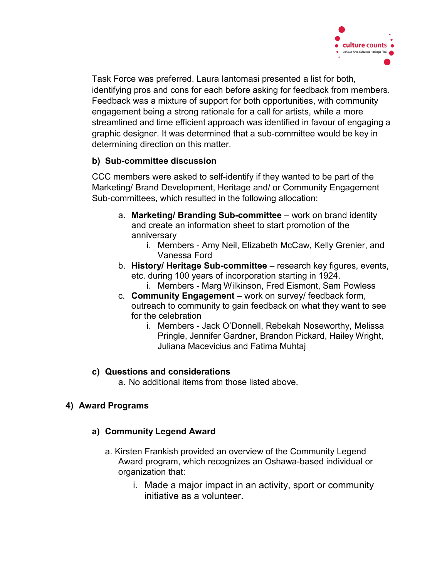

Task Force was preferred. Laura Iantomasi presented a list for both, identifying pros and cons for each before asking for feedback from members. Feedback was a mixture of support for both opportunities, with community engagement being a strong rationale for a call for artists, while a more streamlined and time efficient approach was identified in favour of engaging a graphic designer. It was determined that a sub-committee would be key in determining direction on this matter.

# **b) Sub-committee discussion**

CCC members were asked to self-identify if they wanted to be part of the Marketing/ Brand Development, Heritage and/ or Community Engagement Sub-committees, which resulted in the following allocation:

- a. **Marketing/ Branding Sub-committee** work on brand identity and create an information sheet to start promotion of the anniversary
	- i. Members Amy Neil, Elizabeth McCaw, Kelly Grenier, and Vanessa Ford
- b. **History/ Heritage Sub-committee** research key figures, events, etc. during 100 years of incorporation starting in 1924.
	- i. Members Marg Wilkinson, Fred Eismont, Sam Powless
- c. **Community Engagement** work on survey/ feedback form, outreach to community to gain feedback on what they want to see for the celebration
	- i. Members Jack O'Donnell, Rebekah Noseworthy, Melissa Pringle, Jennifer Gardner, Brandon Pickard, Hailey Wright, Juliana Macevicius and Fatima Muhtaj

# **c) Questions and considerations**

a. No additional items from those listed above.

# **4) Award Programs**

# **a) Community Legend Award**

- a. Kirsten Frankish provided an overview of the Community Legend Award program, which recognizes an Oshawa-based individual or organization that:
	- i. Made a major impact in an activity, sport or community initiative as a volunteer.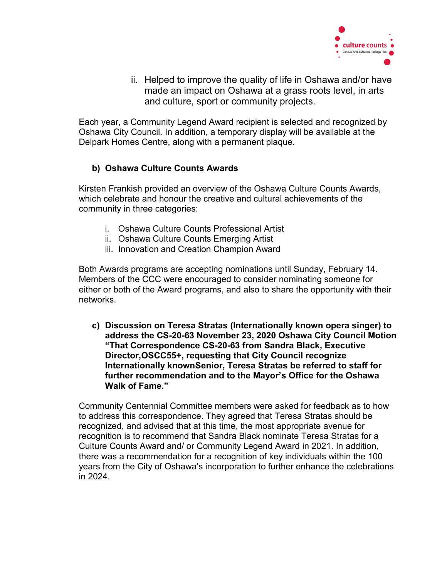

ii. Helped to improve the quality of life in Oshawa and/or have made an impact on Oshawa at a grass roots level, in arts and culture, sport or community projects.

Each year, a Community Legend Award recipient is selected and recognized by Oshawa City Council. In addition, a temporary display will be available at the Delpark Homes Centre, along with a permanent plaque.

# **b) Oshawa Culture Counts Awards**

Kirsten Frankish provided an overview of the Oshawa Culture Counts Awards, which celebrate and honour the creative and cultural achievements of the community in three categories:

- i. Oshawa Culture Counts Professional Artist
- ii. Oshawa Culture Counts Emerging Artist
- iii. Innovation and Creation Champion Award

Both Awards programs are accepting nominations until Sunday, February 14. Members of the CCC were encouraged to consider nominating someone for either or both of the Award programs, and also to share the opportunity with their networks.

**c) Discussion on Teresa Stratas (Internationally known opera singer) to address the CS-20-63 November 23, 2020 Oshawa City Council Motion "That Correspondence CS-20-63 from Sandra Black, Executive Director,OSCC55+, requesting that City Council recognize Internationally knownSenior, Teresa Stratas be referred to staff for further recommendation and to the Mayor's Office for the Oshawa Walk of Fame."**

Community Centennial Committee members were asked for feedback as to how to address this correspondence. They agreed that Teresa Stratas should be recognized, and advised that at this time, the most appropriate avenue for recognition is to recommend that Sandra Black nominate Teresa Stratas for a Culture Counts Award and/ or Community Legend Award in 2021. In addition, there was a recommendation for a recognition of key individuals within the 100 years from the City of Oshawa's incorporation to further enhance the celebrations in 2024.